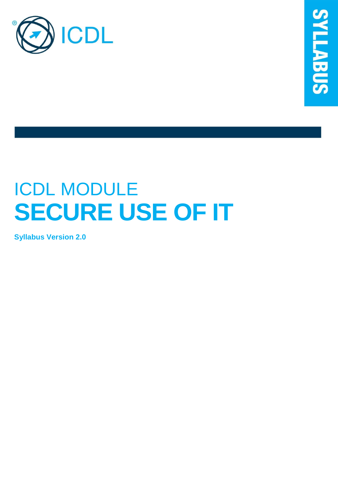

# ICDL MODULE **SECURE USE OF IT**

**Syllabus Version 2.0**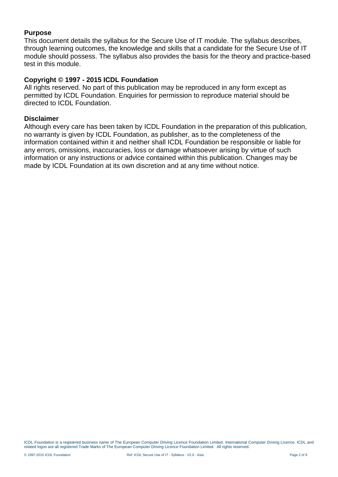#### **Purpose**

This document details the syllabus for the Secure Use of IT module. The syllabus describes, through learning outcomes, the knowledge and skills that a candidate for the Secure Use of IT module should possess. The syllabus also provides the basis for the theory and practice-based test in this module.

#### **Copyright © 1997 - 2015 ICDL Foundation**

All rights reserved. No part of this publication may be reproduced in any form except as permitted by ICDL Foundation. Enquiries for permission to reproduce material should be directed to ICDL Foundation.

#### **Disclaimer**

Although every care has been taken by ICDL Foundation in the preparation of this publication, no warranty is given by ICDL Foundation, as publisher, as to the completeness of the information contained within it and neither shall ICDL Foundation be responsible or liable for any errors, omissions, inaccuracies, loss or damage whatsoever arising by virtue of such information or any instructions or advice contained within this publication. Changes may be made by ICDL Foundation at its own discretion and at any time without notice.

ICDL Foundation is a registered business name of The European Computer Driving Licence Foundation Limited. International Computer Driving Licence, ICDL and related logos are all registered Trade Marks of The European Computer Driving Licence Foundation Limited. All rights reserved.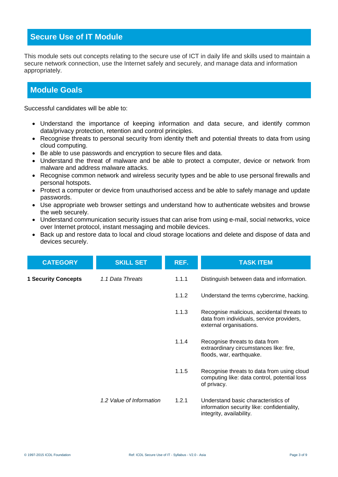## **Secure Use of IT Module**

This module sets out concepts relating to the secure use of ICT in daily life and skills used to maintain a secure network connection, use the Internet safely and securely, and manage data and information appropriately.

### **Module Goals**

Successful candidates will be able to:

- Understand the importance of keeping information and data secure, and identify common data/privacy protection, retention and control principles.
- Recognise threats to personal security from identity theft and potential threats to data from using cloud computing.
- Be able to use passwords and encryption to secure files and data.
- Understand the threat of malware and be able to protect a computer, device or network from malware and address malware attacks.
- Recognise common network and wireless security types and be able to use personal firewalls and personal hotspots.
- Protect a computer or device from unauthorised access and be able to safely manage and update passwords.
- Use appropriate web browser settings and understand how to authenticate websites and browse the web securely.
- Understand communication security issues that can arise from using e-mail, social networks, voice over Internet protocol, instant messaging and mobile devices.
- Back up and restore data to local and cloud storage locations and delete and dispose of data and devices securely.

| <b>CATEGORY</b>            | <b>SKILL SET</b>         | REF.  | <b>TASK ITEM</b>                                                                                                   |
|----------------------------|--------------------------|-------|--------------------------------------------------------------------------------------------------------------------|
| <b>1 Security Concepts</b> | 1.1 Data Threats         | 1.1.1 | Distinguish between data and information.                                                                          |
|                            |                          | 1.1.2 | Understand the terms cybercrime, hacking.                                                                          |
|                            |                          | 1.1.3 | Recognise malicious, accidental threats to<br>data from individuals, service providers,<br>external organisations. |
|                            |                          | 1.1.4 | Recognise threats to data from<br>extraordinary circumstances like: fire,<br>floods, war, earthquake.              |
|                            |                          | 1.1.5 | Recognise threats to data from using cloud<br>computing like: data control, potential loss<br>of privacy.          |
|                            | 1.2 Value of Information | 1.2.1 | Understand basic characteristics of<br>information security like: confidentiality,<br>integrity, availability.     |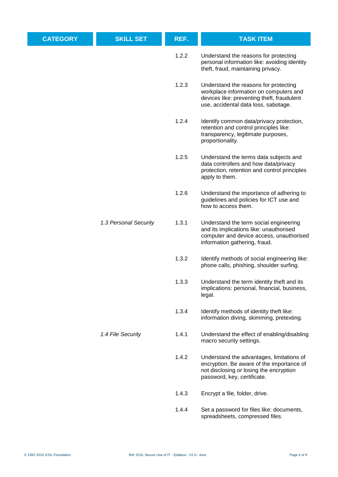| <b>CATEGORY</b> | <b>SKILL SET</b>      | REF.  | <b>TASK ITEM</b>                                                                                                                                                      |
|-----------------|-----------------------|-------|-----------------------------------------------------------------------------------------------------------------------------------------------------------------------|
|                 |                       | 1.2.2 | Understand the reasons for protecting<br>personal information like: avoiding identity<br>theft, fraud, maintaining privacy.                                           |
|                 |                       | 1.2.3 | Understand the reasons for protecting<br>workplace information on computers and<br>devices like: preventing theft, fraudulent<br>use, accidental data loss, sabotage. |
|                 |                       | 1.2.4 | Identify common data/privacy protection,<br>retention and control principles like:<br>transparency, legitimate purposes,<br>proportionality.                          |
|                 |                       | 1.2.5 | Understand the terms data subjects and<br>data controllers and how data/privacy<br>protection, retention and control principles<br>apply to them.                     |
|                 |                       | 1.2.6 | Understand the importance of adhering to<br>guidelines and policies for ICT use and<br>how to access them.                                                            |
|                 | 1.3 Personal Security | 1.3.1 | Understand the term social engineering<br>and its implications like: unauthorised<br>computer and device access, unauthorised<br>information gathering, fraud.        |
|                 |                       | 1.3.2 | Identify methods of social engineering like:<br>phone calls, phishing, shoulder surfing.                                                                              |
|                 |                       | 1.3.3 | Understand the term identity theft and its<br>implications: personal, financial, business,<br>legal.                                                                  |
|                 |                       | 1.3.4 | Identify methods of identity theft like:<br>information diving, skimming, pretexting.                                                                                 |
|                 | 1.4 File Security     | 1.4.1 | Understand the effect of enabling/disabling<br>macro security settings.                                                                                               |
|                 |                       | 1.4.2 | Understand the advantages, limitations of<br>encryption. Be aware of the importance of<br>not disclosing or losing the encryption<br>password, key, certificate.      |
|                 |                       | 1.4.3 | Encrypt a file, folder, drive.                                                                                                                                        |
|                 |                       | 1.4.4 | Set a password for files like: documents,                                                                                                                             |

spreadsheets, compressed files.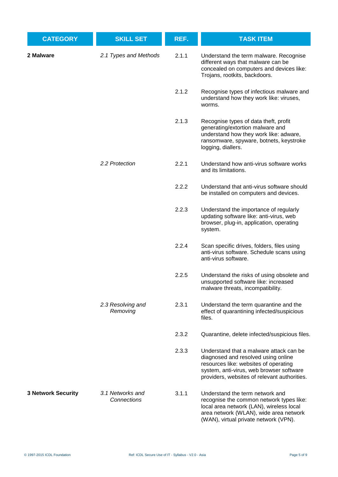| <b>CATEGORY</b>           | <b>SKILL SET</b>                | REF.  | <b>TASK ITEM</b>                                                                                                                                                                                                    |
|---------------------------|---------------------------------|-------|---------------------------------------------------------------------------------------------------------------------------------------------------------------------------------------------------------------------|
| 2 Malware                 | 2.1 Types and Methods           | 2.1.1 | Understand the term malware. Recognise<br>different ways that malware can be<br>concealed on computers and devices like:<br>Trojans, rootkits, backdoors.                                                           |
|                           |                                 | 2.1.2 | Recognise types of infectious malware and<br>understand how they work like: viruses,<br>worms.                                                                                                                      |
|                           |                                 | 2.1.3 | Recognise types of data theft, profit<br>generating/extortion malware and<br>understand how they work like: adware,<br>ransomware, spyware, botnets, keystroke<br>logging, diallers.                                |
|                           | 2.2 Protection                  | 2.2.1 | Understand how anti-virus software works<br>and its limitations.                                                                                                                                                    |
|                           |                                 | 2.2.2 | Understand that anti-virus software should<br>be installed on computers and devices.                                                                                                                                |
|                           |                                 | 2.2.3 | Understand the importance of regularly<br>updating software like: anti-virus, web<br>browser, plug-in, application, operating<br>system.                                                                            |
|                           |                                 | 2.2.4 | Scan specific drives, folders, files using<br>anti-virus software. Schedule scans using<br>anti-virus software.                                                                                                     |
|                           |                                 | 2.2.5 | Understand the risks of using obsolete and<br>unsupported software like: increased<br>malware threats, incompatibility.                                                                                             |
|                           | 2.3 Resolving and<br>Removing   | 2.3.1 | Understand the term quarantine and the<br>effect of quarantining infected/suspicious<br>files.                                                                                                                      |
|                           |                                 | 2.3.2 | Quarantine, delete infected/suspicious files.                                                                                                                                                                       |
|                           |                                 | 2.3.3 | Understand that a malware attack can be<br>diagnosed and resolved using online<br>resources like: websites of operating<br>system, anti-virus, web browser software<br>providers, websites of relevant authorities. |
| <b>3 Network Security</b> | 3.1 Networks and<br>Connections | 3.1.1 | Understand the term network and<br>recognise the common network types like:<br>local area network (LAN), wireless local<br>area network (WLAN), wide area network<br>(WAN), virtual private network (VPN).          |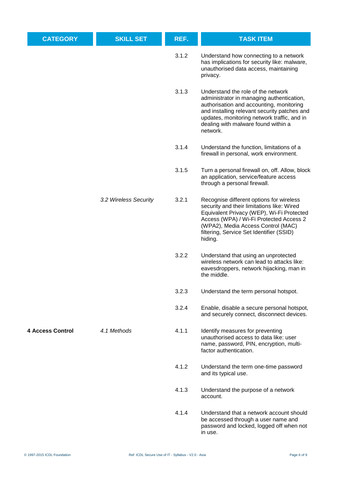| <b>CATEGORY</b>         | <b>SKILL SET</b>      | REF.  | <b>TASK ITEM</b>                                                                                                                                                                                                                                                              |
|-------------------------|-----------------------|-------|-------------------------------------------------------------------------------------------------------------------------------------------------------------------------------------------------------------------------------------------------------------------------------|
|                         |                       | 3.1.2 | Understand how connecting to a network<br>has implications for security like: malware,<br>unauthorised data access, maintaining<br>privacy.                                                                                                                                   |
|                         |                       | 3.1.3 | Understand the role of the network<br>administrator in managing authentication,<br>authorisation and accounting, monitoring<br>and installing relevant security patches and<br>updates, monitoring network traffic, and in<br>dealing with malware found within a<br>network. |
|                         |                       | 3.1.4 | Understand the function, limitations of a<br>firewall in personal, work environment.                                                                                                                                                                                          |
|                         |                       | 3.1.5 | Turn a personal firewall on, off. Allow, block<br>an application, service/feature access<br>through a personal firewall.                                                                                                                                                      |
|                         | 3.2 Wireless Security | 3.2.1 | Recognise different options for wireless<br>security and their limitations like: Wired<br>Equivalent Privacy (WEP), Wi-Fi Protected<br>Access (WPA) / Wi-Fi Protected Access 2<br>(WPA2), Media Access Control (MAC)<br>filtering, Service Set Identifier (SSID)<br>hiding.   |
|                         |                       | 3.2.2 | Understand that using an unprotected<br>wireless network can lead to attacks like:<br>eavesdroppers, network hijacking, man in<br>the middle.                                                                                                                                 |
|                         |                       | 3.2.3 | Understand the term personal hotspot.                                                                                                                                                                                                                                         |
|                         |                       | 3.2.4 | Enable, disable a secure personal hotspot,<br>and securely connect, disconnect devices.                                                                                                                                                                                       |
| <b>4 Access Control</b> | 4.1 Methods           | 4.1.1 | Identify measures for preventing<br>unauthorised access to data like: user<br>name, password, PIN, encryption, multi-<br>factor authentication.                                                                                                                               |
|                         |                       | 4.1.2 | Understand the term one-time password<br>and its typical use.                                                                                                                                                                                                                 |
|                         |                       | 4.1.3 | Understand the purpose of a network<br>account.                                                                                                                                                                                                                               |
|                         |                       | 4.1.4 | Understand that a network account should<br>be accessed through a user name and<br>password and locked, logged off when not<br>in use.                                                                                                                                        |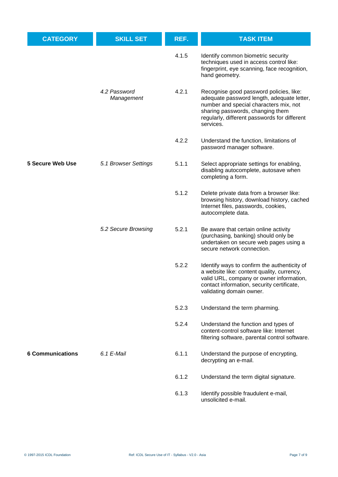| <b>CATEGORY</b>         | <b>SKILL SET</b>           | REF.  | <b>TASK ITEM</b>                                                                                                                                                                                                                 |
|-------------------------|----------------------------|-------|----------------------------------------------------------------------------------------------------------------------------------------------------------------------------------------------------------------------------------|
|                         |                            | 4.1.5 | Identify common biometric security<br>techniques used in access control like:<br>fingerprint, eye scanning, face recognition,<br>hand geometry.                                                                                  |
|                         | 4.2 Password<br>Management | 4.2.1 | Recognise good password policies, like:<br>adequate password length, adequate letter,<br>number and special characters mix, not<br>sharing passwords, changing them<br>regularly, different passwords for different<br>services. |
|                         |                            | 4.2.2 | Understand the function, limitations of<br>password manager software.                                                                                                                                                            |
| <b>5 Secure Web Use</b> | 5.1 Browser Settings       | 5.1.1 | Select appropriate settings for enabling,<br>disabling autocomplete, autosave when<br>completing a form.                                                                                                                         |
|                         |                            | 5.1.2 | Delete private data from a browser like:<br>browsing history, download history, cached<br>Internet files, passwords, cookies,<br>autocomplete data.                                                                              |
|                         | 5.2 Secure Browsing        | 5.2.1 | Be aware that certain online activity<br>(purchasing, banking) should only be<br>undertaken on secure web pages using a<br>secure network connection.                                                                            |
|                         |                            | 5.2.2 | Identify ways to confirm the authenticity of<br>a website like: content quality, currency,<br>valid URL, company or owner information,<br>contact information, security certificate,<br>validating domain owner.                 |
|                         |                            | 5.2.3 | Understand the term pharming.                                                                                                                                                                                                    |
|                         |                            | 5.2.4 | Understand the function and types of<br>content-control software like: Internet<br>filtering software, parental control software.                                                                                                |
| <b>6 Communications</b> | 6.1 E-Mail                 | 6.1.1 | Understand the purpose of encrypting,<br>decrypting an e-mail.                                                                                                                                                                   |
|                         |                            | 6.1.2 | Understand the term digital signature.                                                                                                                                                                                           |
|                         |                            | 6.1.3 | Identify possible fraudulent e-mail,<br>unsolicited e-mail.                                                                                                                                                                      |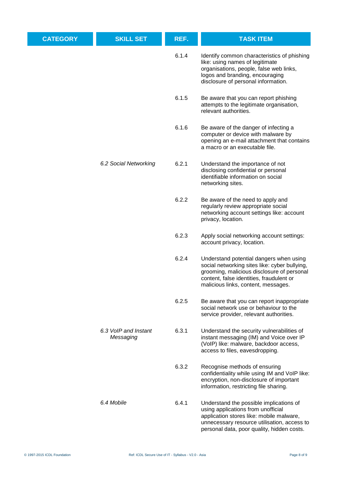| <b>CATEGORY</b> | <b>SKILL SET</b>                  | REF.  | <b>TASK ITEM</b>                                                                                                                                                                                                          |
|-----------------|-----------------------------------|-------|---------------------------------------------------------------------------------------------------------------------------------------------------------------------------------------------------------------------------|
|                 |                                   | 6.1.4 | Identify common characteristics of phishing<br>like: using names of legitimate<br>organisations, people, false web links,<br>logos and branding, encouraging<br>disclosure of personal information.                       |
|                 |                                   | 6.1.5 | Be aware that you can report phishing<br>attempts to the legitimate organisation,<br>relevant authorities.                                                                                                                |
|                 |                                   | 6.1.6 | Be aware of the danger of infecting a<br>computer or device with malware by<br>opening an e-mail attachment that contains<br>a macro or an executable file.                                                               |
|                 | 6.2 Social Networking             | 6.2.1 | Understand the importance of not<br>disclosing confidential or personal<br>identifiable information on social<br>networking sites.                                                                                        |
|                 |                                   | 6.2.2 | Be aware of the need to apply and<br>regularly review appropriate social<br>networking account settings like: account<br>privacy, location.                                                                               |
|                 |                                   | 6.2.3 | Apply social networking account settings:<br>account privacy, location.                                                                                                                                                   |
|                 |                                   | 6.2.4 | Understand potential dangers when using<br>social networking sites like: cyber bullying,<br>grooming, malicious disclosure of personal<br>content, false identities, fraudulent or<br>malicious links, content, messages. |
|                 |                                   | 6.2.5 | Be aware that you can report inappropriate<br>social network use or behaviour to the<br>service provider, relevant authorities.                                                                                           |
|                 | 6.3 VoIP and Instant<br>Messaging | 6.3.1 | Understand the security vulnerabilities of<br>instant messaging (IM) and Voice over IP<br>(VoIP) like: malware, backdoor access,<br>access to files, eavesdropping.                                                       |
|                 |                                   | 6.3.2 | Recognise methods of ensuring<br>confidentiality while using IM and VoIP like:<br>encryption, non-disclosure of important<br>information, restricting file sharing.                                                       |
|                 | 6.4 Mobile                        | 6.4.1 | Understand the possible implications of<br>using applications from unofficial<br>application stores like: mobile malware,<br>unnecessary resource utilisation, access to<br>personal data, poor quality, hidden costs.    |